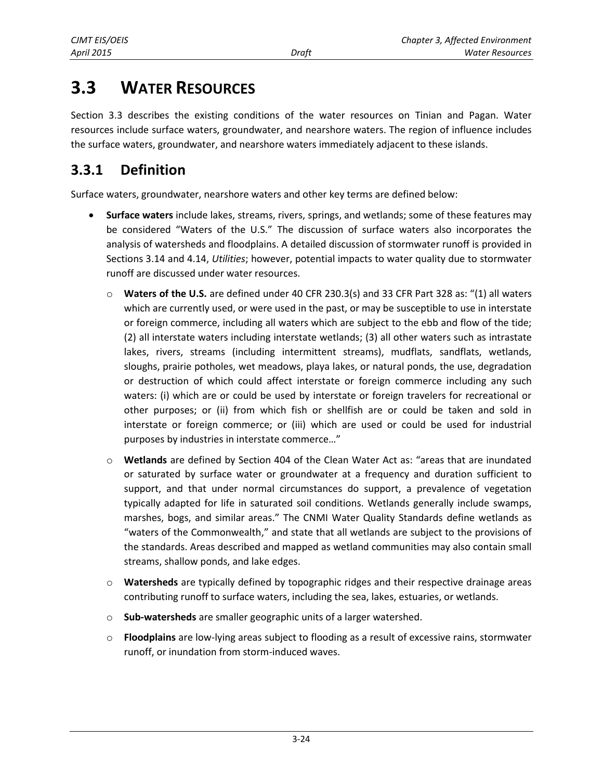# **3.3 WATER RESOURCES**

Section 3.3 describes the existing conditions of the water resources on Tinian and Pagan. Water resources include surface waters, groundwater, and nearshore waters. The region of influence includes the surface waters, groundwater, and nearshore waters immediately adjacent to these islands.

# **3.3.1 Definition**

Surface waters, groundwater, nearshore waters and other key terms are defined below:

- **Surface waters** include lakes, streams, rivers, springs, and wetlands; some of these features may be considered "Waters of the U.S." The discussion of surface waters also incorporates the analysis of watersheds and floodplains. A detailed discussion of stormwater runoff is provided in Sections 3.14 and 4.14, *Utilities*; however, potential impacts to water quality due to stormwater runoff are discussed under water resources.
	- o **Waters of the U.S.** are defined under 40 CFR 230.3(s) and 33 CFR Part 328 as: "(1) all waters which are currently used, or were used in the past, or may be susceptible to use in interstate or foreign commerce, including all waters which are subject to the ebb and flow of the tide; (2) all interstate waters including interstate wetlands; (3) all other waters such as intrastate lakes, rivers, streams (including intermittent streams), mudflats, sandflats, wetlands, sloughs, prairie potholes, wet meadows, playa lakes, or natural ponds, the use, degradation or destruction of which could affect interstate or foreign commerce including any such waters: (i) which are or could be used by interstate or foreign travelers for recreational or other purposes; or (ii) from which fish or shellfish are or could be taken and sold in interstate or foreign commerce; or (iii) which are used or could be used for industrial purposes by industries in interstate commerce…"
	- o **Wetlands** are defined by Section 404 of the Clean Water Act as: "areas that are inundated or saturated by surface water or groundwater at a frequency and duration sufficient to support, and that under normal circumstances do support, a prevalence of vegetation typically adapted for life in saturated soil conditions. Wetlands generally include swamps, marshes, bogs, and similar areas." The CNMI Water Quality Standards define wetlands as "waters of the Commonwealth," and state that all wetlands are subject to the provisions of the standards. Areas described and mapped as wetland communities may also contain small streams, shallow ponds, and lake edges.
	- o **Watersheds** are typically defined by topographic ridges and their respective drainage areas contributing runoff to surface waters, including the sea, lakes, estuaries, or wetlands.
	- o **Sub-watersheds** are smaller geographic units of a larger watershed.
	- o **Floodplains** are low-lying areas subject to flooding as a result of excessive rains, stormwater runoff, or inundation from storm-induced waves.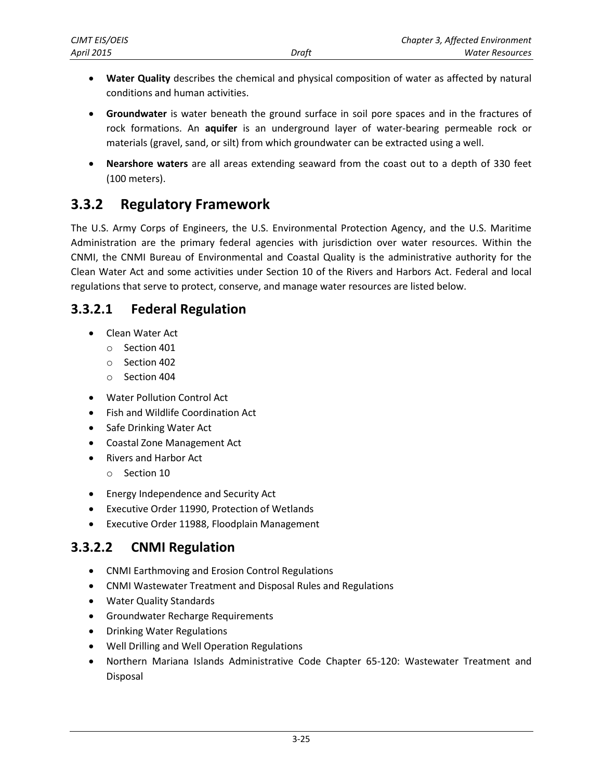- **Water Quality** describes the chemical and physical composition of water as affected by natural conditions and human activities.
- **Groundwater** is water beneath the ground surface in soil pore spaces and in the fractures of rock formations. An **aquifer** is an underground layer of water-bearing permeable rock or materials (gravel, sand, or silt) from which groundwater can be extracted using a well.
- **Nearshore waters** are all areas extending seaward from the coast out to a depth of 330 feet (100 meters).

# <span id="page-1-0"></span>**3.3.2 Regulatory Framework**

The U.S. Army Corps of Engineers, the U.S. Environmental Protection Agency, and the U.S. Maritime Administration are the primary federal agencies with jurisdiction over water resources. Within the CNMI, the CNMI Bureau of Environmental and Coastal Quality is the administrative authority for the Clean Water Act and some activities under Section 10 of the Rivers and Harbors Act. Federal and local regulations that serve to protect, conserve, and manage water resources are listed below.

# **3.3.2.1 Federal Regulation**

- Clean Water Act
	- o Section 401
	- o Section 402
	- o Section 404
- Water Pollution Control Act
- Fish and Wildlife Coordination Act
- Safe Drinking Water Act
- Coastal Zone Management Act
- Rivers and Harbor Act
	- o Section 10
- Energy Independence and Security Act
- Executive Order 11990, Protection of Wetlands
- Executive Order 11988, Floodplain Management

# **3.3.2.2 CNMI Regulation**

- CNMI Earthmoving and Erosion Control Regulations
- CNMI Wastewater Treatment and Disposal Rules and Regulations
- Water Quality Standards
- **•** Groundwater Recharge Requirements
- Drinking Water Regulations
- Well Drilling and Well Operation Regulations
- Northern Mariana Islands Administrative Code Chapter 65-120: Wastewater Treatment and Disposal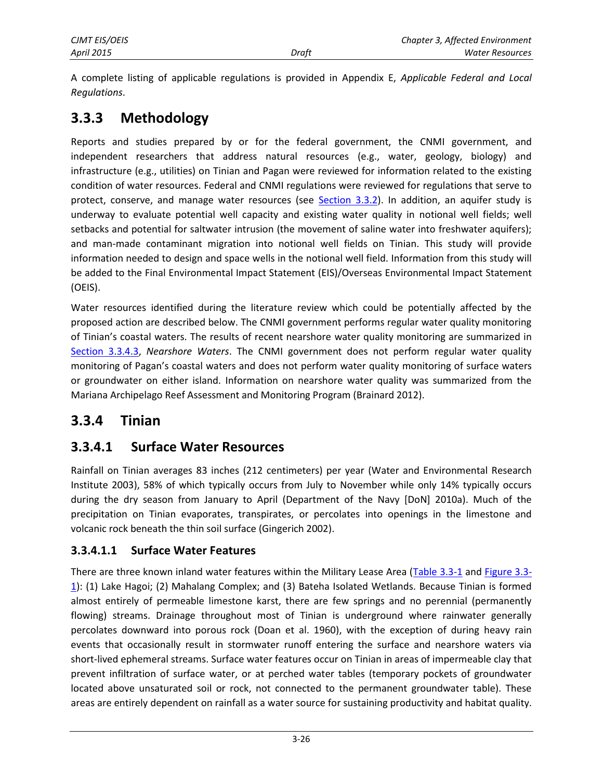A complete listing of applicable regulations is provided in Appendix E, *Applicable Federal and Local Regulations*.

# **3.3.3 Methodology**

Reports and studies prepared by or for the federal government, the CNMI government, and independent researchers that address natural resources (e.g., water, geology, biology) and infrastructure (e.g., utilities) on Tinian and Pagan were reviewed for information related to the existing condition of water resources. Federal and CNMI regulations were reviewed for regulations that serve to protect, conserve, and manage water resources (see [Section 3.3.2\)](#page-1-0). In addition, an aquifer study is underway to evaluate potential well capacity and existing water quality in notional well fields; well setbacks and potential for saltwater intrusion (the movement of saline water into freshwater aquifers); and man-made contaminant migration into notional well fields on Tinian. This study will provide information needed to design and space wells in the notional well field. Information from this study will be added to the Final Environmental Impact Statement (EIS)/Overseas Environmental Impact Statement (OEIS).

Water resources identified during the literature review which could be potentially affected by the proposed action are described below. The CNMI government performs regular water quality monitoring of Tinian's coastal waters. The results of recent nearshore water quality monitoring are summarized in [Section 3.3.4.3,](#page-11-0) *Nearshore Waters*. The CNMI government does not perform regular water quality monitoring of Pagan's coastal waters and does not perform water quality monitoring of surface waters or groundwater on either island. Information on nearshore water quality was summarized from the Mariana Archipelago Reef Assessment and Monitoring Program (Brainard 2012).

# **3.3.4 Tinian**

### **3.3.4.1 Surface Water Resources**

Rainfall on Tinian averages 83 inches (212 centimeters) per year (Water and Environmental Research Institute 2003), 58% of which typically occurs from July to November while only 14% typically occurs during the dry season from January to April (Department of the Navy [DoN] 2010a). Much of the precipitation on Tinian evaporates, transpirates, or percolates into openings in the limestone and volcanic rock beneath the thin soil surface (Gingerich 2002).

### **3.3.4.1.1 Surface Water Features**

There are three known inland water features within the Military Lease Area [\(Table 3.3-1](#page-3-0) and [Figure 3.3-](#page-4-0) [1\)](#page-4-0): (1) Lake Hagoi; (2) Mahalang Complex; and (3) Bateha Isolated Wetlands. Because Tinian is formed almost entirely of permeable limestone karst, there are few springs and no perennial (permanently flowing) streams. Drainage throughout most of Tinian is underground where rainwater generally percolates downward into porous rock (Doan et al. 1960), with the exception of during heavy rain events that occasionally result in stormwater runoff entering the surface and nearshore waters via short-lived ephemeral streams. Surface water features occur on Tinian in areas of impermeable clay that prevent infiltration of surface water, or at perched water tables (temporary pockets of groundwater located above unsaturated soil or rock, not connected to the permanent groundwater table). These areas are entirely dependent on rainfall as a water source for sustaining productivity and habitat quality.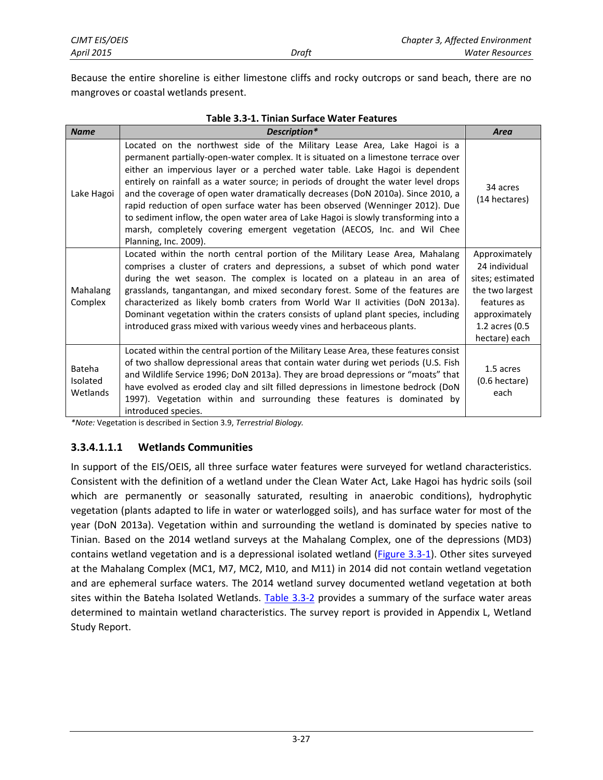Because the entire shoreline is either limestone cliffs and rocky outcrops or sand beach, there are no mangroves or coastal wetlands present.

**Table 3.3-1. Tinian Surface Water Features**

<span id="page-3-0"></span>

| <b>Name</b>                    | Description*                                                                                                                                                                                                                                                                                                                                                                                                                                                                                                                                                                                                                                                                                            | Area                                                                                                                                     |
|--------------------------------|---------------------------------------------------------------------------------------------------------------------------------------------------------------------------------------------------------------------------------------------------------------------------------------------------------------------------------------------------------------------------------------------------------------------------------------------------------------------------------------------------------------------------------------------------------------------------------------------------------------------------------------------------------------------------------------------------------|------------------------------------------------------------------------------------------------------------------------------------------|
| Lake Hagoi                     | Located on the northwest side of the Military Lease Area, Lake Hagoi is a<br>permanent partially-open-water complex. It is situated on a limestone terrace over<br>either an impervious layer or a perched water table. Lake Hagoi is dependent<br>entirely on rainfall as a water source; in periods of drought the water level drops<br>and the coverage of open water dramatically decreases (DoN 2010a). Since 2010, a<br>rapid reduction of open surface water has been observed (Wenninger 2012). Due<br>to sediment inflow, the open water area of Lake Hagoi is slowly transforming into a<br>marsh, completely covering emergent vegetation (AECOS, Inc. and Wil Chee<br>Planning, Inc. 2009). | 34 acres<br>(14 hectares)                                                                                                                |
| Mahalang<br>Complex            | Located within the north central portion of the Military Lease Area, Mahalang<br>comprises a cluster of craters and depressions, a subset of which pond water<br>during the wet season. The complex is located on a plateau in an area of<br>grasslands, tangantangan, and mixed secondary forest. Some of the features are<br>characterized as likely bomb craters from World War II activities (DoN 2013a).<br>Dominant vegetation within the craters consists of upland plant species, including<br>introduced grass mixed with various weedy vines and herbaceous plants.                                                                                                                           | Approximately<br>24 individual<br>sites; estimated<br>the two largest<br>features as<br>approximately<br>1.2 acres (0.5<br>hectare) each |
| Bateha<br>Isolated<br>Wetlands | Located within the central portion of the Military Lease Area, these features consist<br>of two shallow depressional areas that contain water during wet periods (U.S. Fish<br>and Wildlife Service 1996; DoN 2013a). They are broad depressions or "moats" that<br>have evolved as eroded clay and silt filled depressions in limestone bedrock (DoN<br>1997). Vegetation within and surrounding these features is dominated by<br>introduced species.                                                                                                                                                                                                                                                 | 1.5 acres<br>(0.6 hectare)<br>each                                                                                                       |

*\*Note:* Vegetation is described in Section 3.9, *Terrestrial Biology.*

#### **3.3.4.1.1.1 Wetlands Communities**

In support of the EIS/OEIS, all three surface water features were surveyed for wetland characteristics. Consistent with the definition of a wetland under the Clean Water Act, Lake Hagoi has hydric soils (soil which are permanently or seasonally saturated, resulting in anaerobic conditions), hydrophytic vegetation (plants adapted to life in water or waterlogged soils), and has surface water for most of the year (DoN 2013a). Vegetation within and surrounding the wetland is dominated by species native to Tinian. Based on the 2014 wetland surveys at the Mahalang Complex, one of the depressions (MD3) contains wetland vegetation and is a depressional isolated wetland [\(Figure 3.3-1\)](#page-4-0). Other sites surveyed at the Mahalang Complex (MC1, M7, MC2, M10, and M11) in 2014 did not contain wetland vegetation and are ephemeral surface waters. The 2014 wetland survey documented wetland vegetation at both sites within the Bateha Isolated Wetlands. [Table 3.3-2](#page-5-0) provides a summary of the surface water areas determined to maintain wetland characteristics. The survey report is provided in Appendix L, Wetland Study Report.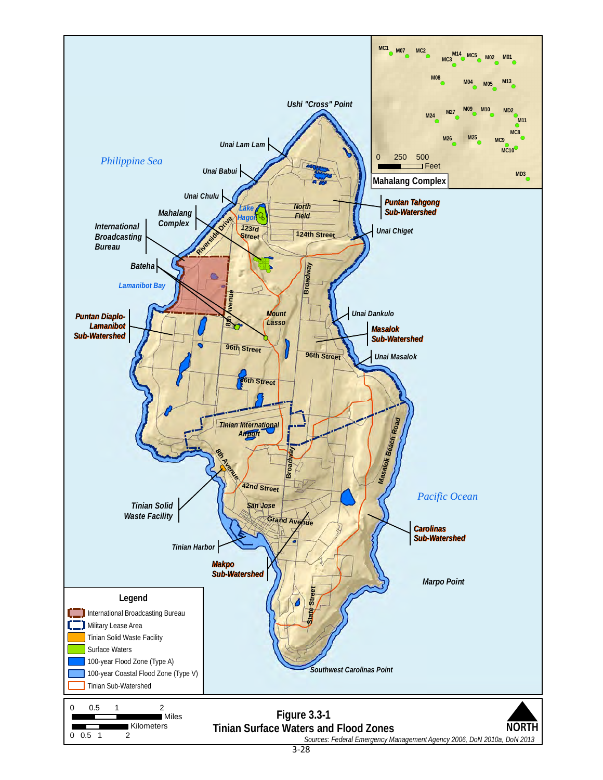<span id="page-4-0"></span>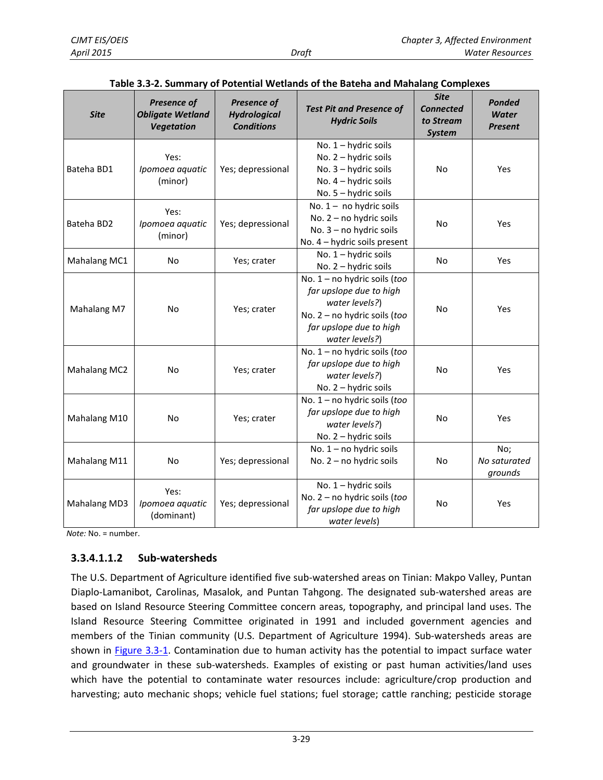<span id="page-5-0"></span>

| <b>Site</b>                                                                       | Presence of<br><b>Obligate Wetland</b><br><b>Vegetation</b>                                                                   | <b>Presence of</b><br><b>Hydrological</b><br><b>Conditions</b>                                   | <b>Test Pit and Presence of</b><br><b>Hydric Soils</b>                                                               | <b>Site</b><br><b>Connected</b><br>to Stream<br><b>System</b> | Ponded<br><b>Water</b><br>Present |
|-----------------------------------------------------------------------------------|-------------------------------------------------------------------------------------------------------------------------------|--------------------------------------------------------------------------------------------------|----------------------------------------------------------------------------------------------------------------------|---------------------------------------------------------------|-----------------------------------|
| Bateha BD1                                                                        | Yes:<br>Ipomoea aquatic<br>(minor)                                                                                            | Yes; depressional                                                                                | No. 1 - hydric soils<br>No. 2 - hydric soils<br>No. 3 - hydric soils<br>No. 4 - hydric soils<br>No. 5 - hydric soils | <b>No</b>                                                     | Yes                               |
| Bateha BD2                                                                        | Yes:<br>Ipomoea aquatic<br>(minor)                                                                                            | Yes; depressional                                                                                | No. $1 -$ no hydric soils<br>No. 2 - no hydric soils<br>No. 3 - no hydric soils<br>No. 4 - hydric soils present      | No                                                            | Yes                               |
| Mahalang MC1                                                                      | <b>No</b>                                                                                                                     | Yes; crater                                                                                      | No. 1 - hydric soils<br>No. 2 - hydric soils                                                                         | <b>No</b>                                                     | Yes                               |
| Mahalang M7                                                                       | water levels?)<br><b>No</b><br>Yes; crater<br>water levels?)                                                                  |                                                                                                  | No. 1 - no hydric soils (too<br>far upslope due to high<br>No. 2 - no hydric soils (too<br>far upslope due to high   | <b>No</b>                                                     | Yes                               |
| <b>Mahalang MC2</b>                                                               | No. 1 - no hydric soils (too<br>far upslope due to high<br><b>No</b><br>Yes; crater<br>water levels?)<br>No. 2 - hydric soils |                                                                                                  | <b>No</b>                                                                                                            | Yes                                                           |                                   |
| Mahalang M10                                                                      | <b>No</b><br>Yes; crater<br>water levels?)<br>No. 2 - hydric soils                                                            |                                                                                                  | No. 1 - no hydric soils (too<br>far upslope due to high                                                              | <b>No</b>                                                     | Yes                               |
| Mahalang M11                                                                      | <b>No</b>                                                                                                                     | Yes; depressional                                                                                | No. 1 - no hydric soils<br>No. 2 - no hydric soils                                                                   | <b>No</b>                                                     | No;<br>No saturated<br>grounds    |
| Yes:<br><b>Mahalang MD3</b><br>Ipomoea aquatic<br>Yes; depressional<br>(dominant) |                                                                                                                               | No. 1 - hydric soils<br>No. 2 - no hydric soils (too<br>far upslope due to high<br>water levels) | No                                                                                                                   | Yes                                                           |                                   |

#### **Table 3.3-2. Summary of Potential Wetlands of the Bateha and Mahalang Complexes**

*Note:* No. = number.

#### **3.3.4.1.1.2 Sub-watersheds**

The U.S. Department of Agriculture identified five sub-watershed areas on Tinian: Makpo Valley, Puntan Diaplo-Lamanibot, Carolinas, Masalok, and Puntan Tahgong. The designated sub-watershed areas are based on Island Resource Steering Committee concern areas, topography, and principal land uses. The Island Resource Steering Committee originated in 1991 and included government agencies and members of the Tinian community (U.S. Department of Agriculture 1994). Sub-watersheds areas are shown in [Figure 3.3-1.](#page-4-0) Contamination due to human activity has the potential to impact surface water and groundwater in these sub-watersheds. Examples of existing or past human activities/land uses which have the potential to contaminate water resources include: agriculture/crop production and harvesting; auto mechanic shops; vehicle fuel stations; fuel storage; cattle ranching; pesticide storage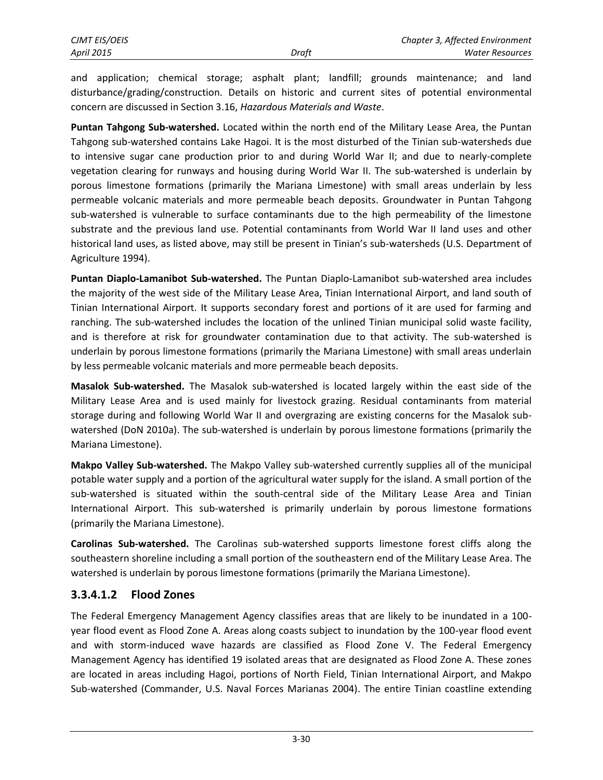and application; chemical storage; asphalt plant; landfill; grounds maintenance; and land disturbance/grading/construction. Details on historic and current sites of potential environmental concern are discussed in Section 3.16, *Hazardous Materials and Waste*.

**Puntan Tahgong Sub-watershed.** Located within the north end of the Military Lease Area, the Puntan Tahgong sub-watershed contains Lake Hagoi. It is the most disturbed of the Tinian sub-watersheds due to intensive sugar cane production prior to and during World War II; and due to nearly-complete vegetation clearing for runways and housing during World War II. The sub-watershed is underlain by porous limestone formations (primarily the Mariana Limestone) with small areas underlain by less permeable volcanic materials and more permeable beach deposits. Groundwater in Puntan Tahgong sub-watershed is vulnerable to surface contaminants due to the high permeability of the limestone substrate and the previous land use. Potential contaminants from World War II land uses and other historical land uses, as listed above, may still be present in Tinian's sub-watersheds (U.S. Department of Agriculture 1994).

**Puntan Diaplo-Lamanibot Sub-watershed.** The Puntan Diaplo-Lamanibot sub-watershed area includes the majority of the west side of the Military Lease Area, Tinian International Airport, and land south of Tinian International Airport. It supports secondary forest and portions of it are used for farming and ranching. The sub-watershed includes the location of the unlined Tinian municipal solid waste facility, and is therefore at risk for groundwater contamination due to that activity. The sub-watershed is underlain by porous limestone formations (primarily the Mariana Limestone) with small areas underlain by less permeable volcanic materials and more permeable beach deposits.

**Masalok Sub-watershed.** The Masalok sub-watershed is located largely within the east side of the Military Lease Area and is used mainly for livestock grazing. Residual contaminants from material storage during and following World War II and overgrazing are existing concerns for the Masalok subwatershed (DoN 2010a). The sub-watershed is underlain by porous limestone formations (primarily the Mariana Limestone).

**Makpo Valley Sub-watershed.** The Makpo Valley sub-watershed currently supplies all of the municipal potable water supply and a portion of the agricultural water supply for the island. A small portion of the sub-watershed is situated within the south-central side of the Military Lease Area and Tinian International Airport. This sub-watershed is primarily underlain by porous limestone formations (primarily the Mariana Limestone).

**Carolinas Sub-watershed.** The Carolinas sub-watershed supports limestone forest cliffs along the southeastern shoreline including a small portion of the southeastern end of the Military Lease Area. The watershed is underlain by porous limestone formations (primarily the Mariana Limestone).

### **3.3.4.1.2 Flood Zones**

The Federal Emergency Management Agency classifies areas that are likely to be inundated in a 100 year flood event as Flood Zone A. Areas along coasts subject to inundation by the 100-year flood event and with storm-induced wave hazards are classified as Flood Zone V. The Federal Emergency Management Agency has identified 19 isolated areas that are designated as Flood Zone A. These zones are located in areas including Hagoi, portions of North Field, Tinian International Airport, and Makpo Sub-watershed (Commander, U.S. Naval Forces Marianas 2004). The entire Tinian coastline extending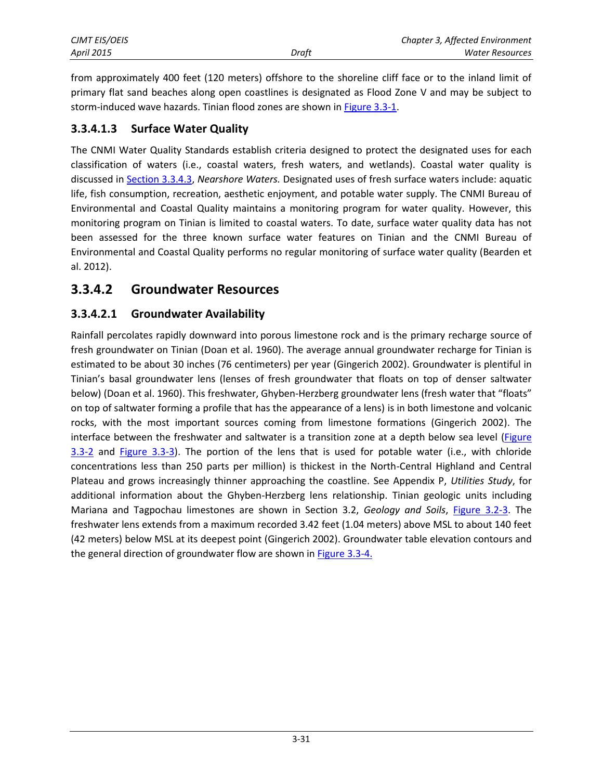| CJMT EIS/OEIS |       | Chapter 3, Affected Environment |
|---------------|-------|---------------------------------|
| April 2015    | Draft | Water Resources                 |

from approximately 400 feet (120 meters) offshore to the shoreline cliff face or to the inland limit of primary flat sand beaches along open coastlines is designated as Flood Zone V and may be subject to storm-induced wave hazards. Tinian flood zones are shown i[n Figure 3.3-1.](#page-4-0)

#### **3.3.4.1.3 Surface Water Quality**

The CNMI Water Quality Standards establish criteria designed to protect the designated uses for each classification of waters (i.e., coastal waters, fresh waters, and wetlands). Coastal water quality is discussed i[n Section 3.3.4.3,](#page-11-0) *Nearshore Waters.* Designated uses of fresh surface waters include: aquatic life, fish consumption, recreation, aesthetic enjoyment, and potable water supply. The CNMI Bureau of Environmental and Coastal Quality maintains a monitoring program for water quality. However, this monitoring program on Tinian is limited to coastal waters. To date, surface water quality data has not been assessed for the three known surface water features on Tinian and the CNMI Bureau of Environmental and Coastal Quality performs no regular monitoring of surface water quality (Bearden et al. 2012).

### **3.3.4.2 Groundwater Resources**

#### **3.3.4.2.1 Groundwater Availability**

Rainfall percolates rapidly downward into porous limestone rock and is the primary recharge source of fresh groundwater on Tinian (Doan et al. 1960). The average annual groundwater recharge for Tinian is estimated to be about 30 inches (76 centimeters) per year (Gingerich 2002). Groundwater is plentiful in Tinian's basal groundwater lens (lenses of fresh groundwater that floats on top of denser saltwater below) (Doan et al. 1960). This freshwater, Ghyben-Herzberg groundwater lens (fresh water that "floats" on top of saltwater forming a profile that has the appearance of a lens) is in both limestone and volcanic rocks, with the most important sources coming from limestone formations (Gingerich 2002). The interface between the freshwater and saltwater is a transition zone at a depth below sea level [\(Figure](#page-8-0)  [3.3-2](#page-8-0) and [Figure 3.3-3\)](#page-8-1). The portion of the lens that is used for potable water (i.e., with chloride concentrations less than 250 parts per million) is thickest in the North-Central Highland and Central Plateau and grows increasingly thinner approaching the coastline. See Appendix P, *Utilities Study*, for additional information about the Ghyben-Herzberg lens relationship. Tinian geologic units including Mariana and Tagpochau limestones are shown in Section 3.2, *Geology and Soils*, [Figure 3.2-3.](#page--1-0) The freshwater lens extends from a maximum recorded 3.42 feet (1.04 meters) above MSL to about 140 feet (42 meters) below MSL at its deepest point (Gingerich 2002). Groundwater table elevation contours and the general direction of groundwater flow are shown in [Figure 3.3-4.](#page-9-0)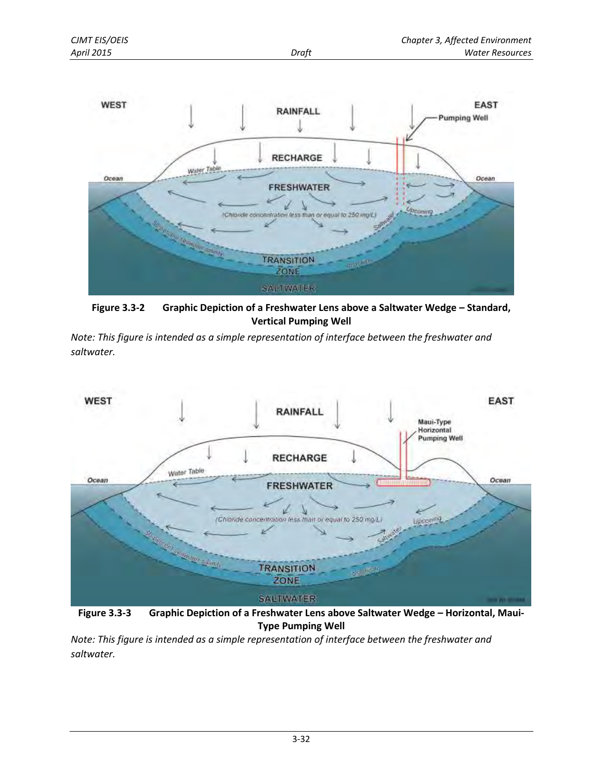

<span id="page-8-1"></span><span id="page-8-0"></span>Figure 3.3-2 Graphic Depiction of a Freshwater Lens above a Saltwater Wedge - Standard, **Vertical Pumping Well** 

*Note: This figure is intended as a simple representation of interface between the freshwater and saltwater.* 



**Figure 3.3-3 Graphic Depiction of a Freshwater Lens above Saltwater Wedge – Horizontal, Maui-Type Pumping Well** 

*Note: This figure is intended as a simple representation of interface between the freshwater and saltwater.*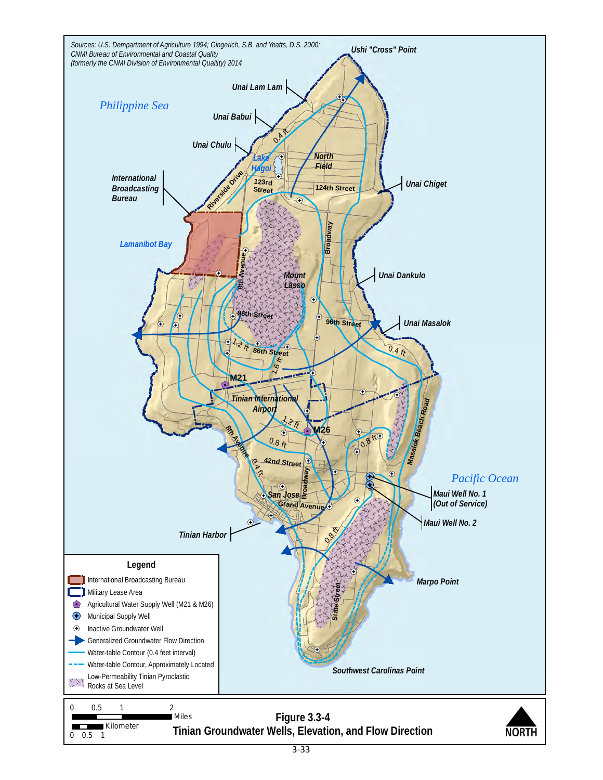<span id="page-9-0"></span>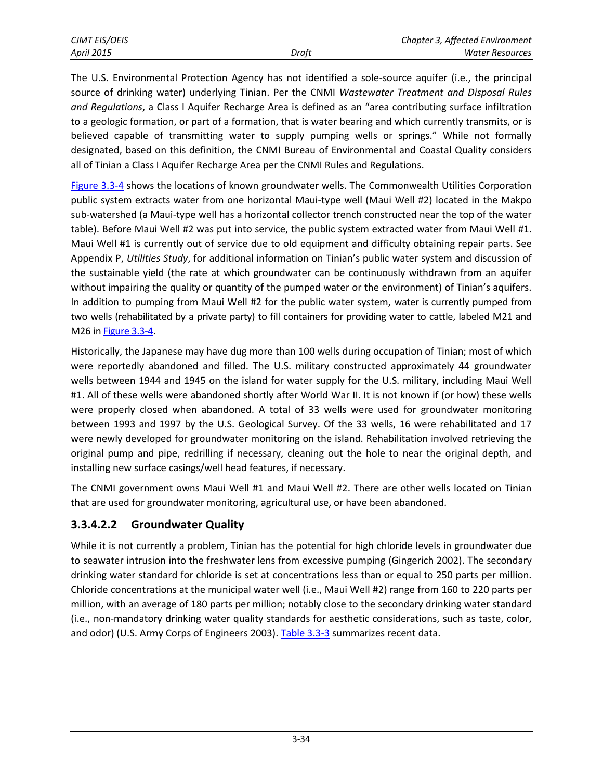The U.S. Environmental Protection Agency has not identified a sole-source aquifer (i.e., the principal source of drinking water) underlying Tinian. Per the CNMI *Wastewater Treatment and Disposal Rules and Regulations*, a Class I Aquifer Recharge Area is defined as an "area contributing surface infiltration to a geologic formation, or part of a formation, that is water bearing and which currently transmits, or is believed capable of transmitting water to supply pumping wells or springs." While not formally designated, based on this definition, the CNMI Bureau of Environmental and Coastal Quality considers all of Tinian a Class I Aquifer Recharge Area per the CNMI Rules and Regulations.

[Figure 3.3-4](#page-9-0) shows the locations of known groundwater wells. The Commonwealth Utilities Corporation public system extracts water from one horizontal Maui-type well (Maui Well #2) located in the Makpo sub-watershed (a Maui-type well has a horizontal collector trench constructed near the top of the water table). Before Maui Well #2 was put into service, the public system extracted water from Maui Well #1. Maui Well #1 is currently out of service due to old equipment and difficulty obtaining repair parts. See Appendix P, *Utilities Study*, for additional information on Tinian's public water system and discussion of the sustainable yield (the rate at which groundwater can be continuously withdrawn from an aquifer without impairing the quality or quantity of the pumped water or the environment) of Tinian's aquifers. In addition to pumping from Maui Well #2 for the public water system, water is currently pumped from two wells (rehabilitated by a private party) to fill containers for providing water to cattle, labeled M21 and M26 in [Figure 3.3-4.](#page-9-0)

Historically, the Japanese may have dug more than 100 wells during occupation of Tinian; most of which were reportedly abandoned and filled. The U.S. military constructed approximately 44 groundwater wells between 1944 and 1945 on the island for water supply for the U.S. military, including Maui Well #1. All of these wells were abandoned shortly after World War II. It is not known if (or how) these wells were properly closed when abandoned. A total of 33 wells were used for groundwater monitoring between 1993 and 1997 by the U.S. Geological Survey. Of the 33 wells, 16 were rehabilitated and 17 were newly developed for groundwater monitoring on the island. Rehabilitation involved retrieving the original pump and pipe, redrilling if necessary, cleaning out the hole to near the original depth, and installing new surface casings/well head features, if necessary.

The CNMI government owns Maui Well #1 and Maui Well #2. There are other wells located on Tinian that are used for groundwater monitoring, agricultural use, or have been abandoned.

### **3.3.4.2.2 Groundwater Quality**

While it is not currently a problem, Tinian has the potential for high chloride levels in groundwater due to seawater intrusion into the freshwater lens from excessive pumping (Gingerich 2002). The secondary drinking water standard for chloride is set at concentrations less than or equal to 250 parts per million. Chloride concentrations at the municipal water well (i.e., Maui Well #2) range from 160 to 220 parts per million, with an average of 180 parts per million; notably close to the secondary drinking water standard (i.e., non-mandatory drinking water quality standards for aesthetic considerations, such as taste, color, and odor) (U.S. Army Corps of Engineers 2003). [Table 3.3-3](#page-11-1) summarizes recent data.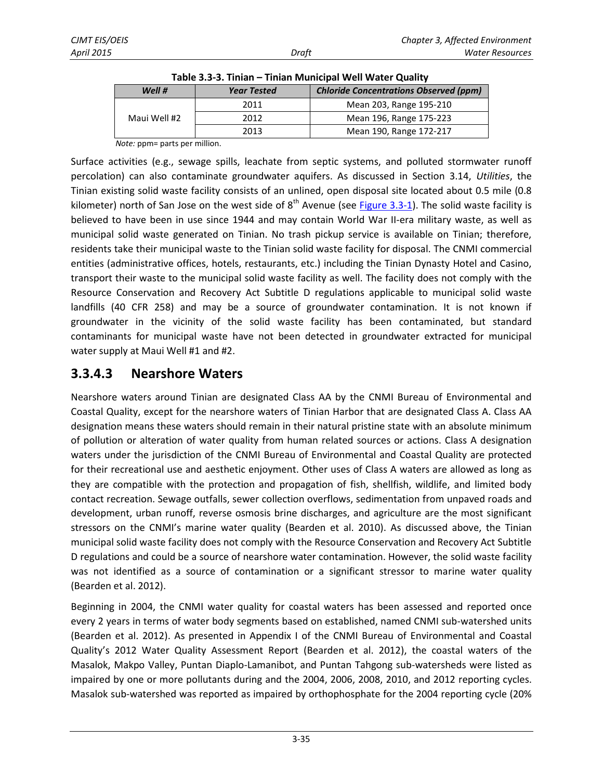<span id="page-11-1"></span>

| Well $#$     | <b>Chloride Concentrations Observed (ppm)</b> |                         |  |  |  |
|--------------|-----------------------------------------------|-------------------------|--|--|--|
|              | 2011                                          | Mean 203, Range 195-210 |  |  |  |
| Maui Well #2 | 2012                                          | Mean 196, Range 175-223 |  |  |  |
|              | 2013                                          | Mean 190, Range 172-217 |  |  |  |

**Table 3.3-3. Tinian – Tinian Municipal Well Water Quality** 

*Note:* ppm= parts per million.

Surface activities (e.g., sewage spills, leachate from septic systems, and polluted stormwater runoff percolation) can also contaminate groundwater aquifers. As discussed in Section 3.14, *Utilities*, the Tinian existing solid waste facility consists of an unlined, open disposal site located about 0.5 mile (0.8 kilometer) north of San Jose on the west side of  $8<sup>th</sup>$  Avenue (see [Figure 3.3-1\)](#page-4-0). The solid waste facility is believed to have been in use since 1944 and may contain World War II-era military waste, as well as municipal solid waste generated on Tinian. No trash pickup service is available on Tinian; therefore, residents take their municipal waste to the Tinian solid waste facility for disposal. The CNMI commercial entities (administrative offices, hotels, restaurants, etc.) including the Tinian Dynasty Hotel and Casino, transport their waste to the municipal solid waste facility as well. The facility does not comply with the Resource Conservation and Recovery Act Subtitle D regulations applicable to municipal solid waste landfills (40 CFR 258) and may be a source of groundwater contamination. It is not known if groundwater in the vicinity of the solid waste facility has been contaminated, but standard contaminants for municipal waste have not been detected in groundwater extracted for municipal water supply at Maui Well #1 and #2.

### <span id="page-11-0"></span>**3.3.4.3 Nearshore Waters**

Nearshore waters around Tinian are designated Class AA by the CNMI Bureau of Environmental and Coastal Quality, except for the nearshore waters of Tinian Harbor that are designated Class A. Class AA designation means these waters should remain in their natural pristine state with an absolute minimum of pollution or alteration of water quality from human related sources or actions. Class A designation waters under the jurisdiction of the CNMI Bureau of Environmental and Coastal Quality are protected for their recreational use and aesthetic enjoyment. Other uses of Class A waters are allowed as long as they are compatible with the protection and propagation of fish, shellfish, wildlife, and limited body contact recreation. Sewage outfalls, sewer collection overflows, sedimentation from unpaved roads and development, urban runoff, reverse osmosis brine discharges, and agriculture are the most significant stressors on the CNMI's marine water quality (Bearden et al. 2010). As discussed above, the Tinian municipal solid waste facility does not comply with the Resource Conservation and Recovery Act Subtitle D regulations and could be a source of nearshore water contamination. However, the solid waste facility was not identified as a source of contamination or a significant stressor to marine water quality (Bearden et al. 2012).

Beginning in 2004, the CNMI water quality for coastal waters has been assessed and reported once every 2 years in terms of water body segments based on established, named CNMI sub-watershed units (Bearden et al. 2012). As presented in Appendix I of the CNMI Bureau of Environmental and Coastal Quality's 2012 Water Quality Assessment Report (Bearden et al. 2012), the coastal waters of the Masalok, Makpo Valley, Puntan Diaplo-Lamanibot, and Puntan Tahgong sub-watersheds were listed as impaired by one or more pollutants during and the 2004, 2006, 2008, 2010, and 2012 reporting cycles. Masalok sub-watershed was reported as impaired by orthophosphate for the 2004 reporting cycle (20%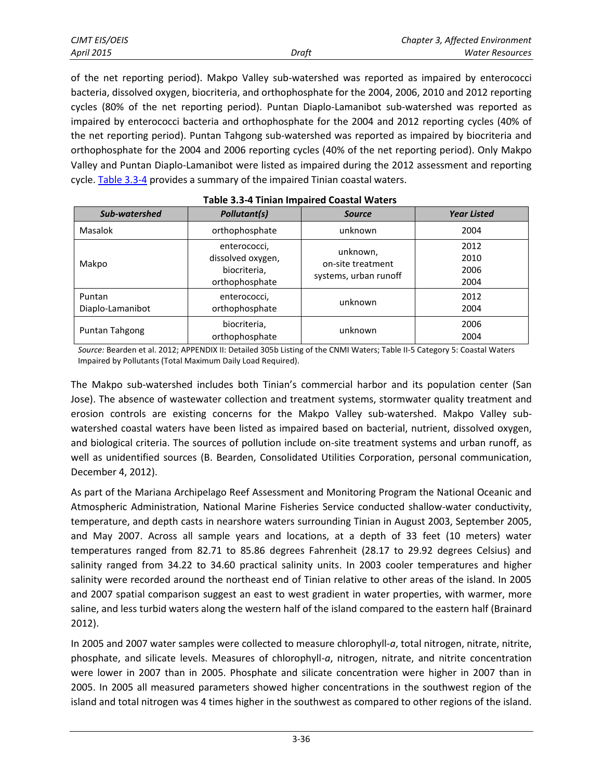|       | Chapter 3, Affected Environment |
|-------|---------------------------------|
| Draft | Water Resources                 |

*CJMT EIS/OEIS Chapter 3, Affected Environment April 2015 Draft Water Resources* 

of the net reporting period). Makpo Valley sub-watershed was reported as impaired by enterococci bacteria, dissolved oxygen, biocriteria, and orthophosphate for the 2004, 2006, 2010 and 2012 reporting cycles (80% of the net reporting period). Puntan Diaplo-Lamanibot sub-watershed was reported as impaired by enterococci bacteria and orthophosphate for the 2004 and 2012 reporting cycles (40% of the net reporting period). Puntan Tahgong sub-watershed was reported as impaired by biocriteria and orthophosphate for the 2004 and 2006 reporting cycles (40% of the net reporting period). Only Makpo Valley and Puntan Diaplo-Lamanibot were listed as impaired during the 2012 assessment and reporting cycle[. Table 3.3-4 p](#page-12-0)rovides a summary of the impaired Tinian coastal waters.

<span id="page-12-0"></span>

| Sub-watershed              | <b>Pollutant(s)</b>                                                 | <b>Source</b>                                          | <b>Year Listed</b>           |
|----------------------------|---------------------------------------------------------------------|--------------------------------------------------------|------------------------------|
| Masalok                    | orthophosphate                                                      | unknown                                                | 2004                         |
| Makpo                      | enterococci,<br>dissolved oxygen,<br>biocriteria,<br>orthophosphate | unknown,<br>on-site treatment<br>systems, urban runoff | 2012<br>2010<br>2006<br>2004 |
| Puntan<br>Diaplo-Lamanibot | enterococci,<br>orthophosphate                                      | unknown                                                | 2012<br>2004                 |
| Puntan Tahgong             | biocriteria,<br>orthophosphate                                      | unknown                                                | 2006<br>2004                 |

*Source:* Bearden et al. 2012; APPENDIX II: Detailed 305b Listing of the CNMI Waters; Table II-5 Category 5: Coastal Waters Impaired by Pollutants (Total Maximum Daily Load Required).

The Makpo sub-watershed includes both Tinian's commercial harbor and its population center (San Jose). The absence of wastewater collection and treatment systems, stormwater quality treatment and erosion controls are existing concerns for the Makpo Valley sub-watershed. Makpo Valley subwatershed coastal waters have been listed as impaired based on bacterial, nutrient, dissolved oxygen, and biological criteria. The sources of pollution include on-site treatment systems and urban runoff, as well as unidentified sources (B. Bearden, Consolidated Utilities Corporation, personal communication, December 4, 2012).

As part of the Mariana Archipelago Reef Assessment and Monitoring Program the National Oceanic and Atmospheric Administration, National Marine Fisheries Service conducted shallow-water conductivity, temperature, and depth casts in nearshore waters surrounding Tinian in August 2003, September 2005, and May 2007. Across all sample years and locations, at a depth of 33 feet (10 meters) water temperatures ranged from 82.71 to 85.86 degrees Fahrenheit (28.17 to 29.92 degrees Celsius) and salinity ranged from 34.22 to 34.60 practical salinity units. In 2003 cooler temperatures and higher salinity were recorded around the northeast end of Tinian relative to other areas of the island. In 2005 and 2007 spatial comparison suggest an east to west gradient in water properties, with warmer, more saline, and less turbid waters along the western half of the island compared to the eastern half (Brainard 2012).

In 2005 and 2007 water samples were collected to measure chlorophyll-*a*, total nitrogen, nitrate, nitrite, phosphate, and silicate levels. Measures of chlorophyll-*a*, nitrogen, nitrate, and nitrite concentration were lower in 2007 than in 2005. Phosphate and silicate concentration were higher in 2007 than in 2005. In 2005 all measured parameters showed higher concentrations in the southwest region of the island and total nitrogen was 4 times higher in the southwest as compared to other regions of the island.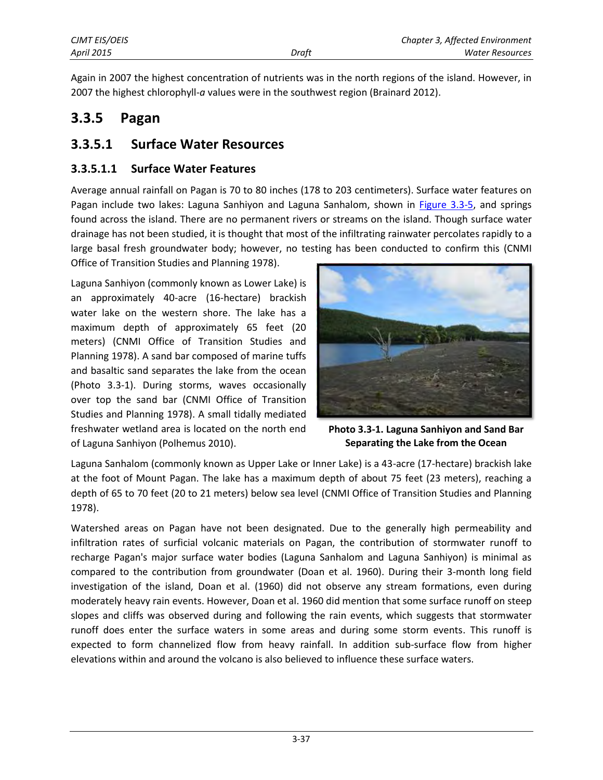Again in 2007 the highest concentration of nutrients was in the north regions of the island. However, in 2007 the highest chlorophyll-*a* values were in the southwest region (Brainard 2012).

### **3.3.5 Pagan**

### **3.3.5.1 Surface Water Resources**

#### **3.3.5.1.1 Surface Water Features**

Average annual rainfall on Pagan is 70 to 80 inches (178 to 203 centimeters). Surface water features on Pagan include two lakes: Laguna Sanhiyon and Laguna Sanhalom, shown in [Figure 3.3-5,](#page-14-0) and springs found across the island. There are no permanent rivers or streams on the island. Though surface water drainage has not been studied, it is thought that most of the infiltrating rainwater percolates rapidly to a large basal fresh groundwater body; however, no testing has been conducted to confirm this (CNMI Office of Transition Studies and Planning 1978).

Laguna Sanhiyon (commonly known as Lower Lake) is an approximately 40-acre (16-hectare) brackish water lake on the western shore. The lake has a maximum depth of approximately 65 feet (20 meters) (CNMI Office of Transition Studies and Planning 1978). A sand bar composed of marine tuffs and basaltic sand separates the lake from the ocean (Photo 3.3-1). During storms, waves occasionally over top the sand bar (CNMI Office of Transition Studies and Planning 1978). A small tidally mediated freshwater wetland area is located on the north end of Laguna Sanhiyon (Polhemus 2010).



**Photo 3.3-1. Laguna Sanhiyon and Sand Bar Separating the Lake from the Ocean**

Laguna Sanhalom (commonly known as Upper Lake or Inner Lake) is a 43-acre (17-hectare) brackish lake at the foot of Mount Pagan. The lake has a maximum depth of about 75 feet (23 meters), reaching a depth of 65 to 70 feet (20 to 21 meters) below sea level (CNMI Office of Transition Studies and Planning 1978).

Watershed areas on Pagan have not been designated. Due to the generally high permeability and infiltration rates of surficial volcanic materials on Pagan, the contribution of stormwater runoff to recharge Pagan's major surface water bodies (Laguna Sanhalom and Laguna Sanhiyon) is minimal as compared to the contribution from groundwater (Doan et al. 1960). During their 3-month long field investigation of the island, Doan et al. (1960) did not observe any stream formations, even during moderately heavy rain events. However, Doan et al. 1960 did mention that some surface runoff on steep slopes and cliffs was observed during and following the rain events, which suggests that stormwater runoff does enter the surface waters in some areas and during some storm events. This runoff is expected to form channelized flow from heavy rainfall. In addition sub-surface flow from higher elevations within and around the volcano is also believed to influence these surface waters.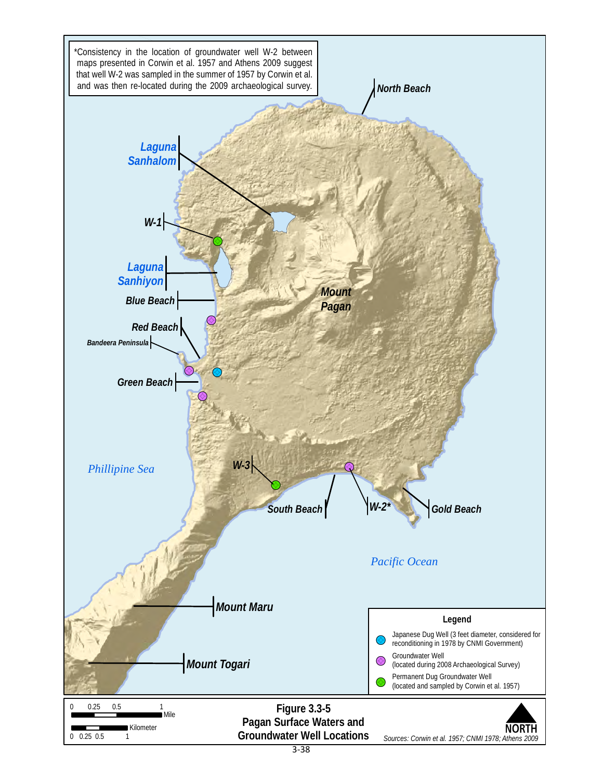<span id="page-14-0"></span>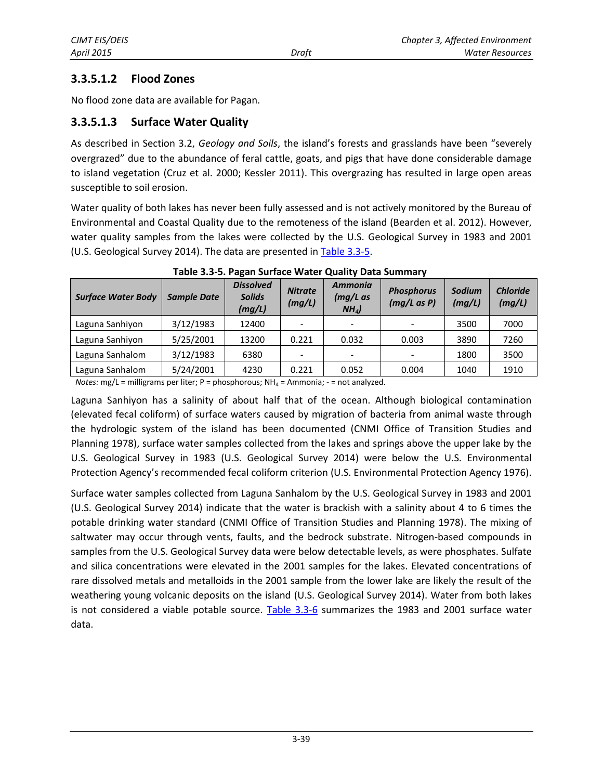#### **3.3.5.1.2 Flood Zones**

No flood zone data are available for Pagan.

#### **3.3.5.1.3 Surface Water Quality**

As described in Section 3.2, *Geology and Soils*, the island's forests and grasslands have been "severely overgrazed" due to the abundance of feral cattle, goats, and pigs that have done considerable damage to island vegetation (Cruz et al. 2000; Kessler 2011). This overgrazing has resulted in large open areas susceptible to soil erosion.

Water quality of both lakes has never been fully assessed and is not actively monitored by the Bureau of Environmental and Coastal Quality due to the remoteness of the island (Bearden et al. 2012). However, water quality samples from the lakes were collected by the U.S. Geological Survey in 1983 and 2001 (U.S. Geological Survey 2014). The data are presented i[n Table 3.3-5.](#page-15-0)

<span id="page-15-0"></span>

| <b>Surface Water Body</b> | <b>Sample Date</b> | <b>Dissolved</b><br><b>Solids</b><br>(mg/L) | <b>Nitrate</b><br>(mg/L) | <b>Ammonia</b><br>$(mg/L)$ as<br>NH <sub>4</sub> | <b>Phosphorus</b><br>$(mg/L \, as \, P)$ | Sodium<br>(mg/L) | <b>Chloride</b><br>(mg/L) |
|---------------------------|--------------------|---------------------------------------------|--------------------------|--------------------------------------------------|------------------------------------------|------------------|---------------------------|
| Laguna Sanhiyon           | 3/12/1983          | 12400                                       |                          |                                                  |                                          | 3500             | 7000                      |
| Laguna Sanhiyon           | 5/25/2001          | 13200                                       | 0.221                    | 0.032                                            | 0.003                                    | 3890             | 7260                      |
| Laguna Sanhalom           | 3/12/1983          | 6380                                        |                          |                                                  |                                          | 1800             | 3500                      |
| Laguna Sanhalom           | 5/24/2001          | 4230                                        | 0.221                    | 0.052                                            | 0.004                                    | 1040             | 1910                      |

Notes: mg/L = milligrams per liter; P = phosphorous; NH<sub>4</sub> = Ammonia; - = not analyzed.

Laguna Sanhiyon has a salinity of about half that of the ocean. Although biological contamination (elevated fecal coliform) of surface waters caused by migration of bacteria from animal waste through the hydrologic system of the island has been documented (CNMI Office of Transition Studies and Planning 1978), surface water samples collected from the lakes and springs above the upper lake by the U.S. Geological Survey in 1983 (U.S. Geological Survey 2014) were below the U.S. Environmental Protection Agency's recommended fecal coliform criterion (U.S. Environmental Protection Agency 1976).

Surface water samples collected from Laguna Sanhalom by the U.S. Geological Survey in 1983 and 2001 (U.S. Geological Survey 2014) indicate that the water is brackish with a salinity about 4 to 6 times the potable drinking water standard (CNMI Office of Transition Studies and Planning 1978). The mixing of saltwater may occur through vents, faults, and the bedrock substrate. Nitrogen-based compounds in samples from the U.S. Geological Survey data were below detectable levels, as were phosphates. Sulfate and silica concentrations were elevated in the 2001 samples for the lakes. Elevated concentrations of rare dissolved metals and metalloids in the 2001 sample from the lower lake are likely the result of the weathering young volcanic deposits on the island (U.S. Geological Survey 2014). Water from both lakes is not considered a viable potable source. [Table 3.3-6](#page-16-0) summarizes the 1983 and 2001 surface water data.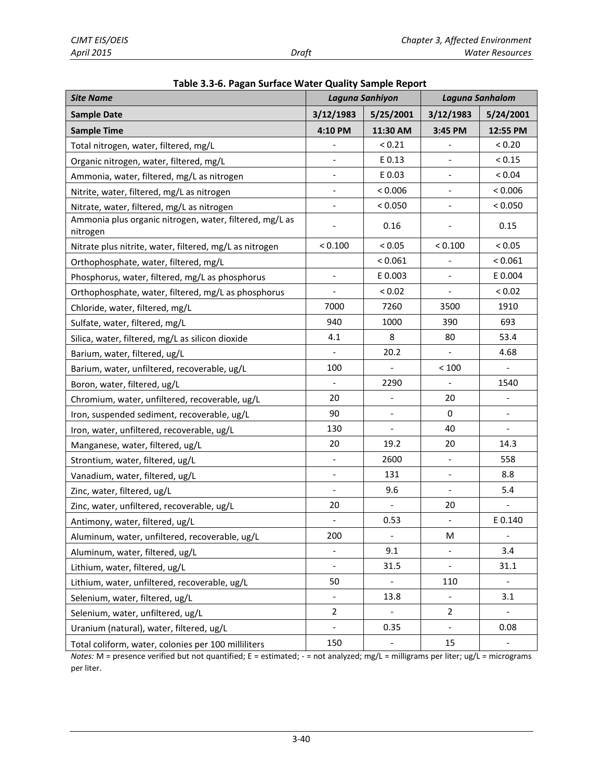<span id="page-16-0"></span>

| Table 5.5-6. Pagan Surface Water Quality Sample Report<br><b>Site Name</b> |                          | Laguna Sanhiyon          | Laguna Sanhalom          |                          |  |
|----------------------------------------------------------------------------|--------------------------|--------------------------|--------------------------|--------------------------|--|
| <b>Sample Date</b>                                                         | 3/12/1983                | 5/25/2001                | 3/12/1983                | 5/24/2001                |  |
| <b>Sample Time</b>                                                         | 4:10 PM                  | 11:30 AM                 | 3:45 PM                  | 12:55 PM                 |  |
| Total nitrogen, water, filtered, mg/L                                      |                          | < 0.21                   |                          | < 0.20                   |  |
| Organic nitrogen, water, filtered, mg/L                                    |                          | E 0.13                   |                          | < 0.15                   |  |
| Ammonia, water, filtered, mg/L as nitrogen                                 | $\overline{\phantom{a}}$ | E 0.03                   | $\overline{\phantom{0}}$ | ${}_{< 0.04}$            |  |
| Nitrite, water, filtered, mg/L as nitrogen                                 |                          | < 0.006                  |                          | < 0.006                  |  |
| Nitrate, water, filtered, mg/L as nitrogen                                 | $\overline{\phantom{a}}$ | < 0.050                  | $\blacksquare$           | < 0.050                  |  |
| Ammonia plus organic nitrogen, water, filtered, mg/L as<br>nitrogen        |                          | 0.16                     |                          | 0.15                     |  |
| Nitrate plus nitrite, water, filtered, mg/L as nitrogen                    | < 0.100                  | < 0.05                   | < 0.100                  | < 0.05                   |  |
| Orthophosphate, water, filtered, mg/L                                      |                          | < 0.061                  |                          | < 0.061                  |  |
| Phosphorus, water, filtered, mg/L as phosphorus                            | $\blacksquare$           | E 0.003                  | $\blacksquare$           | E 0.004                  |  |
| Orthophosphate, water, filtered, mg/L as phosphorus                        |                          | < 0.02                   |                          | < 0.02                   |  |
| Chloride, water, filtered, mg/L                                            | 7000                     | 7260                     | 3500                     | 1910                     |  |
| Sulfate, water, filtered, mg/L                                             | 940                      | 1000                     | 390                      | 693                      |  |
| Silica, water, filtered, mg/L as silicon dioxide                           | 4.1                      | 8                        | 80                       | 53.4                     |  |
| Barium, water, filtered, ug/L                                              |                          | 20.2                     |                          | 4.68                     |  |
| Barium, water, unfiltered, recoverable, ug/L                               | 100                      |                          | < 100                    | $\blacksquare$           |  |
| Boron, water, filtered, ug/L                                               | $\overline{\phantom{a}}$ | 2290                     | $\frac{1}{2}$            | 1540                     |  |
| Chromium, water, unfiltered, recoverable, ug/L                             | 20                       |                          | 20                       |                          |  |
| Iron, suspended sediment, recoverable, ug/L                                | 90                       |                          | 0                        |                          |  |
| Iron, water, unfiltered, recoverable, ug/L                                 | 130                      | $\overline{\phantom{a}}$ | 40                       | $\overline{\phantom{a}}$ |  |
| Manganese, water, filtered, ug/L                                           | 20                       | 19.2                     | 20                       | 14.3                     |  |
| Strontium, water, filtered, ug/L                                           | $\overline{\phantom{a}}$ | 2600                     | $\overline{\phantom{a}}$ | 558                      |  |
| Vanadium, water, filtered, ug/L                                            | $\overline{\phantom{a}}$ | 131                      |                          | 8.8                      |  |
| Zinc, water, filtered, ug/L                                                | $\overline{\phantom{a}}$ | 9.6                      | $\overline{\phantom{a}}$ | 5.4                      |  |
| Zinc, water, unfiltered, recoverable, ug/L                                 | 20                       |                          | 20                       |                          |  |
| Antimony, water, filtered, ug/L                                            | $\overline{\phantom{a}}$ | 0.53                     | $\blacksquare$           | E 0.140                  |  |
| Aluminum, water, unfiltered, recoverable, ug/L                             | 200                      | $\overline{\phantom{a}}$ | M                        | $\Box$                   |  |
| Aluminum, water, filtered, ug/L                                            |                          | 9.1                      |                          | 3.4                      |  |
| Lithium, water, filtered, ug/L                                             | $\overline{\phantom{a}}$ | 31.5                     | $\blacksquare$           | 31.1                     |  |
| Lithium, water, unfiltered, recoverable, ug/L                              | 50                       |                          | 110                      |                          |  |
| Selenium, water, filtered, ug/L                                            | $\overline{\phantom{a}}$ | 13.8                     |                          | 3.1                      |  |
| Selenium, water, unfiltered, ug/L                                          | $\overline{2}$           |                          | $\overline{2}$           |                          |  |
| Uranium (natural), water, filtered, ug/L                                   | $\overline{\phantom{a}}$ | 0.35                     | $\overline{\phantom{0}}$ | 0.08                     |  |
| Total coliform, water, colonies per 100 milliliters                        | 150                      | $\overline{\phantom{a}}$ | 15                       | $\overline{\phantom{a}}$ |  |

*Notes:* M = presence verified but not quantified; E = estimated; - = not analyzed; mg/L = milligrams per liter; ug/L = micrograms per liter.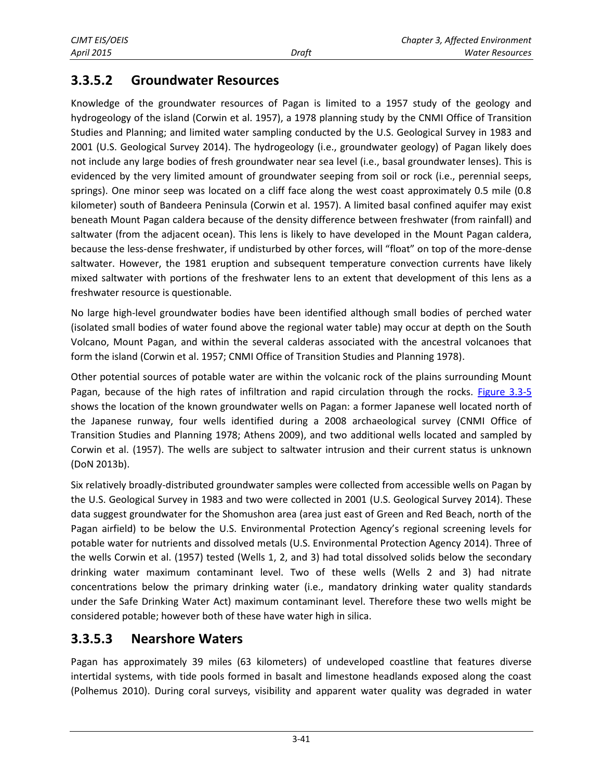# **3.3.5.2 Groundwater Resources**

Knowledge of the groundwater resources of Pagan is limited to a 1957 study of the geology and hydrogeology of the island (Corwin et al. 1957), a 1978 planning study by the CNMI Office of Transition Studies and Planning; and limited water sampling conducted by the U.S. Geological Survey in 1983 and 2001 (U.S. Geological Survey 2014). The hydrogeology (i.e., groundwater geology) of Pagan likely does not include any large bodies of fresh groundwater near sea level (i.e., basal groundwater lenses). This is evidenced by the very limited amount of groundwater seeping from soil or rock (i.e., perennial seeps, springs). One minor seep was located on a cliff face along the west coast approximately 0.5 mile (0.8 kilometer) south of Bandeera Peninsula (Corwin et al. 1957). A limited basal confined aquifer may exist beneath Mount Pagan caldera because of the density difference between freshwater (from rainfall) and saltwater (from the adjacent ocean). This lens is likely to have developed in the Mount Pagan caldera, because the less-dense freshwater, if undisturbed by other forces, will "float" on top of the more-dense saltwater. However, the 1981 eruption and subsequent temperature convection currents have likely mixed saltwater with portions of the freshwater lens to an extent that development of this lens as a freshwater resource is questionable.

No large high-level groundwater bodies have been identified although small bodies of perched water (isolated small bodies of water found above the regional water table) may occur at depth on the South Volcano, Mount Pagan, and within the several calderas associated with the ancestral volcanoes that form the island (Corwin et al. 1957; CNMI Office of Transition Studies and Planning 1978).

Other potential sources of potable water are within the volcanic rock of the plains surrounding Mount Pagan, because of the high rates of infiltration and rapid circulation through the rocks. [Figure 3.3-5](#page-14-0) shows the location of the known groundwater wells on Pagan: a former Japanese well located north of the Japanese runway, four wells identified during a 2008 archaeological survey (CNMI Office of Transition Studies and Planning 1978; Athens 2009), and two additional wells located and sampled by Corwin et al. (1957). The wells are subject to saltwater intrusion and their current status is unknown (DoN 2013b).

Six relatively broadly-distributed groundwater samples were collected from accessible wells on Pagan by the U.S. Geological Survey in 1983 and two were collected in 2001 (U.S. Geological Survey 2014). These data suggest groundwater for the Shomushon area (area just east of Green and Red Beach, north of the Pagan airfield) to be below the U.S. Environmental Protection Agency's regional screening levels for potable water for nutrients and dissolved metals (U.S. Environmental Protection Agency 2014). Three of the wells Corwin et al. (1957) tested (Wells 1, 2, and 3) had total dissolved solids below the secondary drinking water maximum contaminant level. Two of these wells (Wells 2 and 3) had nitrate concentrations below the primary drinking water (i.e., mandatory drinking water quality standards under the Safe Drinking Water Act) maximum contaminant level. Therefore these two wells might be considered potable; however both of these have water high in silica.

# **3.3.5.3 Nearshore Waters**

Pagan has approximately 39 miles (63 kilometers) of undeveloped coastline that features diverse intertidal systems, with tide pools formed in basalt and limestone headlands exposed along the coast (Polhemus 2010). During coral surveys, visibility and apparent water quality was degraded in water